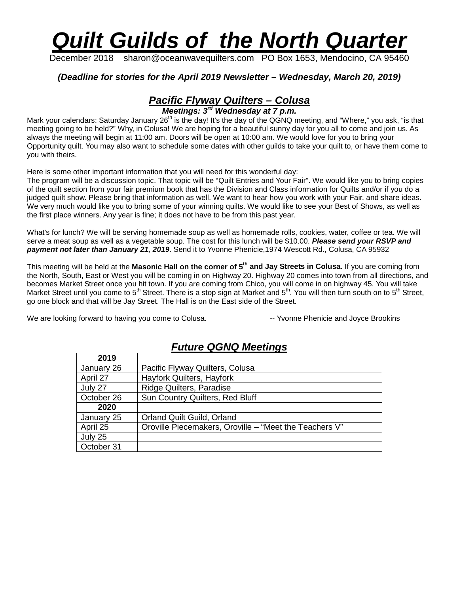# *Quilt Guilds of the North Quarter*

December 2018 sharon@oceanwavequilters.com PO Box 1653, Mendocino, CA 95460

#### *(Deadline for stories for the April 2019 Newsletter – Wednesday, March 20, 2019)*

# *Pacific Flyway Quilters – Colusa*

*Meetings: 3rd Wednesday at 7 p.m.*

Mark your calendars: Saturday January 26<sup>th</sup> is the day! It's the day of the QGNQ meeting, and "Where," you ask, "is that meeting going to be held?" Why, in Colusa! We are hoping for a beautiful sunny day for you all to come and join us. As always the meeting will begin at 11:00 am. Doors will be open at 10:00 am. We would love for you to bring your Opportunity quilt. You may also want to schedule some dates with other guilds to take your quilt to, or have them come to you with theirs.

Here is some other important information that you will need for this wonderful day:

The program will be a discussion topic. That topic will be "Quilt Entries and Your Fair". We would like you to bring copies of the quilt section from your fair premium book that has the Division and Class information for Quilts and/or if you do a judged quilt show. Please bring that information as well. We want to hear how you work with your Fair, and share ideas. We very much would like you to bring some of your winning quilts. We would like to see your Best of Shows, as well as the first place winners. Any year is fine; it does not have to be from this past year.

What's for lunch? We will be serving homemade soup as well as homemade rolls, cookies, water, coffee or tea. We will serve a meat soup as well as a vegetable soup. The cost for this lunch will be \$10.00. *Please send your RSVP and payment not later than January 21, 2019*. Send it to Yvonne Phenicie,1974 Wescott Rd., Colusa, CA 95932

This meeting will be held at the **Masonic Hall on the corner of 5th and Jay Streets in Colusa**. If you are coming from the North, South, East or West you will be coming in on Highway 20. Highway 20 comes into town from all directions, and becomes Market Street once you hit town. If you are coming from Chico, you will come in on highway 45. You will take Market Street until you come to 5<sup>th</sup> Street. There is a stop sign at Market and 5<sup>th</sup>. You will then turn south on to 5<sup>th</sup> Street, go one block and that will be Jay Street. The Hall is on the East side of the Street.

We are looking forward to having you come to Colusa. The State State Phenicie and Joyce Brookins

| 2019       |                                                        |  |  |  |  |
|------------|--------------------------------------------------------|--|--|--|--|
| January 26 | Pacific Flyway Quilters, Colusa                        |  |  |  |  |
| April 27   | Hayfork Quilters, Hayfork                              |  |  |  |  |
| July 27    | Ridge Quilters, Paradise                               |  |  |  |  |
| October 26 | Sun Country Quilters, Red Bluff                        |  |  |  |  |
| 2020       |                                                        |  |  |  |  |
| January 25 | <b>Orland Quilt Guild, Orland</b>                      |  |  |  |  |
| April 25   | Oroville Piecemakers, Oroville – "Meet the Teachers V" |  |  |  |  |
| July 25    |                                                        |  |  |  |  |
| October 31 |                                                        |  |  |  |  |

## *Future QGNQ Meetings*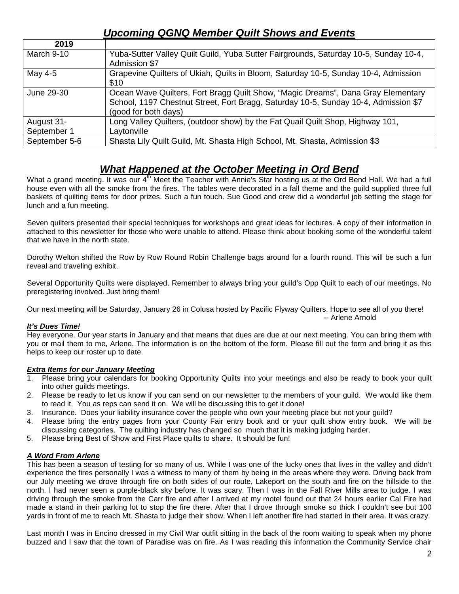## *Upcoming QGNQ Member Quilt Shows and Events*

| 2019          |                                                                                      |
|---------------|--------------------------------------------------------------------------------------|
| March 9-10    | Yuba-Sutter Valley Quilt Guild, Yuba Sutter Fairgrounds, Saturday 10-5, Sunday 10-4, |
|               | Admission \$7                                                                        |
| May 4-5       | Grapevine Quilters of Ukiah, Quilts in Bloom, Saturday 10-5, Sunday 10-4, Admission  |
|               | \$10                                                                                 |
| June 29-30    | Ocean Wave Quilters, Fort Bragg Quilt Show, "Magic Dreams", Dana Gray Elementary     |
|               | School, 1197 Chestnut Street, Fort Bragg, Saturday 10-5, Sunday 10-4, Admission \$7  |
|               | (good for both days)                                                                 |
| August 31-    | Long Valley Quilters, (outdoor show) by the Fat Quail Quilt Shop, Highway 101,       |
| September 1   | Laytonville                                                                          |
| September 5-6 | Shasta Lily Quilt Guild, Mt. Shasta High School, Mt. Shasta, Admission \$3           |

## *What Happened at the October Meeting in Ord Bend*

What a grand meeting. It was our 4<sup>th</sup> Meet the Teacher with Annie's Star hosting us at the Ord Bend Hall. We had a full house even with all the smoke from the fires. The tables were decorated in a fall theme and the guild supplied three full baskets of quilting items for door prizes. Such a fun touch. Sue Good and crew did a wonderful job setting the stage for lunch and a fun meeting.

Seven quilters presented their special techniques for workshops and great ideas for lectures. A copy of their information in attached to this newsletter for those who were unable to attend. Please think about booking some of the wonderful talent that we have in the north state.

Dorothy Welton shifted the Row by Row Round Robin Challenge bags around for a fourth round. This will be such a fun reveal and traveling exhibit.

Several Opportunity Quilts were displayed. Remember to always bring your guild's Opp Quilt to each of our meetings. No preregistering involved. Just bring them!

Our next meeting will be Saturday, January 26 in Colusa hosted by Pacific Flyway Quilters. Hope to see all of you there! -- Arlene Arnold

#### *It's Dues Time!*

Hey everyone. Our year starts in January and that means that dues are due at our next meeting. You can bring them with you or mail them to me, Arlene. The information is on the bottom of the form. Please fill out the form and bring it as this helps to keep our roster up to date.

#### *Extra Items for our January Meeting*

- 1. Please bring your calendars for booking Opportunity Quilts into your meetings and also be ready to book your quilt into other guilds meetings.
- 2. Please be ready to let us know if you can send on our newsletter to the members of your guild. We would like them to read it. You as reps can send it on. We will be discussing this to get it done!
- 3. Insurance. Does your liability insurance cover the people who own your meeting place but not your guild?
- 4. Please bring the entry pages from your County Fair entry book and or your quilt show entry book. We will be discussing categories. The quilting industry has changed so much that it is making judging harder.
- 5. Please bring Best of Show and First Place quilts to share. It should be fun!

#### *A Word From Arlene*

This has been a season of testing for so many of us. While I was one of the lucky ones that lives in the valley and didn't experience the fires personally I was a witness to many of them by being in the areas where they were. Driving back from our July meeting we drove through fire on both sides of our route, Lakeport on the south and fire on the hillside to the north. I had never seen a purple-black sky before. It was scary. Then I was in the Fall River Mills area to judge. I was driving through the smoke from the Carr fire and after I arrived at my motel found out that 24 hours earlier Cal Fire had made a stand in their parking lot to stop the fire there. After that I drove through smoke so thick I couldn't see but 100 yards in front of me to reach Mt. Shasta to judge their show. When I left another fire had started in their area. It was crazy.

Last month I was in Encino dressed in my Civil War outfit sitting in the back of the room waiting to speak when my phone buzzed and I saw that the town of Paradise was on fire. As I was reading this information the Community Service chair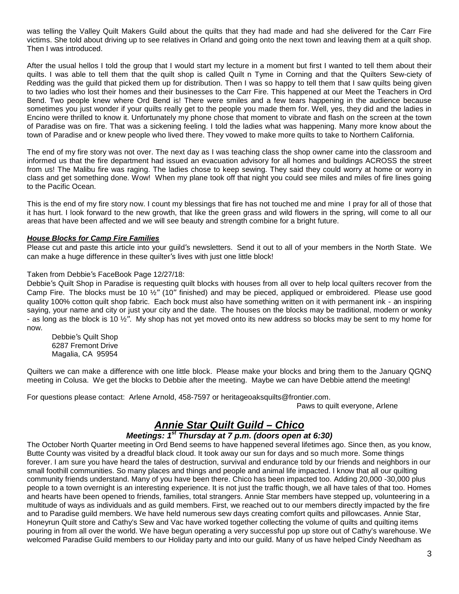was telling the Valley Quilt Makers Guild about the quilts that they had made and had she delivered for the Carr Fire victims. She told about driving up to see relatives in Orland and going onto the next town and leaving them at a quilt shop. Then I was introduced.

After the usual hellos I told the group that I would start my lecture in a moment but first I wanted to tell them about their quilts. I was able to tell them that the quilt shop is called Quilt n Tyme in Corning and that the Quilters Sew-ciety of Redding was the guild that picked them up for distribution. Then I was so happy to tell them that I saw quilts being given to two ladies who lost their homes and their businesses to the Carr Fire. This happened at our Meet the Teachers in Ord Bend. Two people knew where Ord Bend is! There were smiles and a few tears happening in the audience because sometimes you just wonder if your quilts really get to the people you made them for. Well, yes, they did and the ladies in Encino were thrilled to know it. Unfortunately my phone chose that moment to vibrate and flash on the screen at the town of Paradise was on fire. That was a sickening feeling. I told the ladies what was happening. Many more know about the town of Paradise and or knew people who lived there. They vowed to make more quilts to take to Northern California.

The end of my fire story was not over. The next day as I was teaching class the shop owner came into the classroom and informed us that the fire department had issued an evacuation advisory for all homes and buildings ACROSS the street from us! The Malibu fire was raging. The ladies chose to keep sewing. They said they could worry at home or worry in class and get something done. Wow! When my plane took off that night you could see miles and miles of fire lines going to the Pacific Ocean.

This is the end of my fire story now. I count my blessings that fire has not touched me and mine I pray for all of those that it has hurt. I look forward to the new growth, that like the green grass and wild flowers in the spring, will come to all our areas that have been affected and we will see beauty and strength combine for a bright future.

#### *House Blocks for Camp Fire Families*

Please cut and paste this article into your guild's newsletters. Send it out to all of your members in the North State. We can make a huge difference in these quilter's lives with just one little block!

#### Taken from Debbie's FaceBook Page 12/27/18:

Debbie's Quilt Shop in Paradise is requesting quilt blocks with houses from all over to help local quilters recover from the Camp Fire. The blocks must be 10 ½" (10" finished) and may be pieced, appliqued or embroidered. Please use good quality 100% cotton quilt shop fabric. Each bock must also have something written on it with permanent ink - an inspiring saying, your name and city or just your city and the date. The houses on the blocks may be traditional, modern or wonky - as long as the block is 10  $\frac{1}{2}$ ". My shop has not yet moved onto its new address so blocks may be sent to my home for now.

 Debbie's Quilt Shop 6287 Fremont Drive Magalia, CA 95954

Quilters we can make a difference with one little block. Please make your blocks and bring them to the January QGNQ meeting in Colusa. We get the blocks to Debbie after the meeting. Maybe we can have Debbie attend the meeting!

For questions please contact: Arlene Arnold, 458-7597 or heritageoaksquilts@frontier.com.

Paws to quilt everyone, Arlene

## *Annie Star Quilt Guild – Chico*

#### *Meetings: 1st Thursday at 7 p.m. (doors open at 6:30)*

The October North Quarter meeting in Ord Bend seems to have happened several lifetimes ago. Since then, as you know, Butte County was visited by a dreadful black cloud. It took away our sun for days and so much more. Some things forever. I am sure you have heard the tales of destruction, survival and endurance told by our friends and neighbors in our small foothill communities. So many places and things and people and animal life impacted. I know that all our quilting community friends understand. Many of you have been there. Chico has been impacted too. Adding 20,000 -30,000 plus people to a town overnight is an interesting experience. It is not just the traffic though, we all have tales of that too. Homes and hearts have been opened to friends, families, total strangers. Annie Star members have stepped up, volunteering in a multitude of ways as individuals and as guild members. First, we reached out to our members directly impacted by the fire and to Paradise guild members. We have held numerous sew days creating comfort quilts and pillowcases. Annie Star, Honeyrun Quilt store and Cathy's Sew and Vac have worked together collecting the volume of quilts and quilting items pouring in from all over the world. We have begun operating a very successful pop up store out of Cathy's warehouse. We welcomed Paradise Guild members to our Holiday party and into our guild. Many of us have helped Cindy Needham as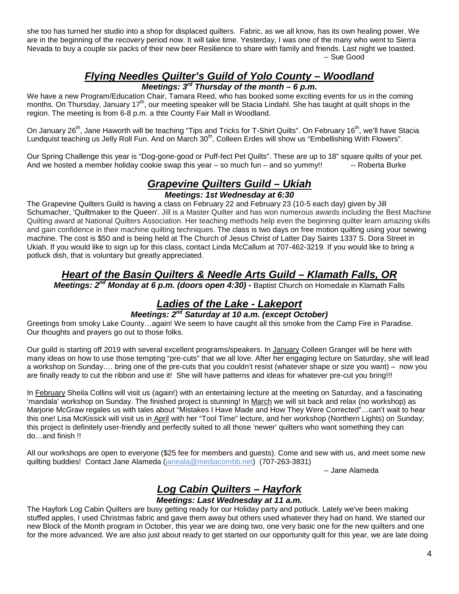she too has turned her studio into a shop for displaced quilters. Fabric, as we all know, has its own healing power. We are in the beginning of the recovery period now. It will take time. Yesterday, I was one of the many who went to Sierra Nevada to buy a couple six packs of their new beer Resilience to share with family and friends. Last night we toasted. -- Sue Good

# *Flying Needles Quilter's Guild of Yolo County – Woodland*

*Meetings: 3rd Thursday of the month – 6 p.m.*

We have a new Program/Education Chair, Tamara Reed, who has booked some exciting events for us in the coming months. On Thursday, January 17<sup>th</sup>, our meeting speaker will be Stacia Lindahl. She has taught at quilt shops in the region. The meeting is from 6-8 p.m. a thte County Fair Mall in Woodland.

On January 26<sup>th</sup>, Jane Haworth will be teaching "Tips and Tricks for T-Shirt Quilts". On February 16<sup>th</sup>, we'll have Stacia Lundquist teaching us Jelly Roll Fun. And on March 30<sup>th</sup>, Colleen Erdes will show us "Embellishing With Flowers".

Our Spring Challenge this year is "Dog-gone-good or Puff-fect Pet Quilts". These are up to 18" square quilts of your pet. And we hosted a member holiday cookie swap this year  $-$  so much fun  $-$  and so yummy!!  $-$  Roberta Burke

# *Grapevine Quilters Guild – Ukiah*

*Meetings: 1st Wednesday at 6:30*

The Grapevine Quilters Guild is having a class on February 22 and February 23 (10-5 each day) given by Jill Schumacher, 'Quiltmaker to the Queen'. Jill is a Master Quilter and has won numerous awards including the Best Machine Quilting award at National Quilters Association. Her teaching methods help even the beginning quilter learn amazing skills and gain confidence in their machine quilting techniques. The class is two days on free motion quilting using your sewing machine. The cost is \$50 and is being held at The Church of Jesus Christ of Latter Day Saints 1337 S. Dora Street in Ukiah. If you would like to sign up for this class, contact Linda McCallum at 707-462-3219. If you would like to bring a potluck dish, that is voluntary but greatly appreciated.

## *Heart of the Basin Quilters & Needle Arts Guild – Klamath Falls, OR*

*Meetings: 2nd Monday at 6 p.m. (doors open 4:30)* **-** Baptist Church on Homedale in Klamath Falls

## *Ladies of the Lake - Lakeport*

#### *Meetings: 2nd Saturday at 10 a.m. (except October)*

Greetings from smoky Lake County…again! We seem to have caught all this smoke from the Camp Fire in Paradise. Our thoughts and prayers go out to those folks.

Our guild is starting off 2019 with several excellent programs/speakers. In January Colleen Granger will be here with many ideas on how to use those tempting "pre-cuts" that we all love. After her engaging lecture on Saturday, she will lead a workshop on Sunday…. bring one of the pre-cuts that you couldn't resist (whatever shape or size you want) – now you are finally ready to cut the ribbon and use it! She will have patterns and ideas for whatever pre-cut you bring!!!

In February Sheila Collins will visit us (again!) with an entertaining lecture at the meeting on Saturday, and a fascinating 'mandala' workshop on Sunday. The finished project is stunning! In March we will sit back and relax (no workshop) as Marjorie McGraw regales us with tales about "Mistakes I Have Made and How They Were Corrected"…can't wait to hear this one! Lisa McKissick will visit us in April with her "Tool Time" lecture, and her workshop (Northern Lights) on Sunday; this project is definitely user-friendly and perfectly suited to all those 'newer' quilters who want something they can do…and finish !!

All our workshops are open to everyone (\$25 fee for members and guests). Come and sew with us, and meet some new quilting buddies! Contact Jane Alameda [\(janeala@mediacombb.net\)](mailto:janeala@mediacombb.net) (707-263-3831)

-- Jane Alameda

# *Log Cabin Quilters – Hayfork*

#### *Meetings: Last Wednesday at 11 a.m.*

The Hayfork Log Cabin Quilters are busy getting ready for our Holiday party and potluck. Lately we've been making stuffed apples, I used Christmas fabric and gave them away but others used whatever they had on hand. We started our new Block of the Month program in October, this year we are doing two, one very basic one for the new quilters and one for the more advanced. We are also just about ready to get started on our opportunity quilt for this year, we are late doing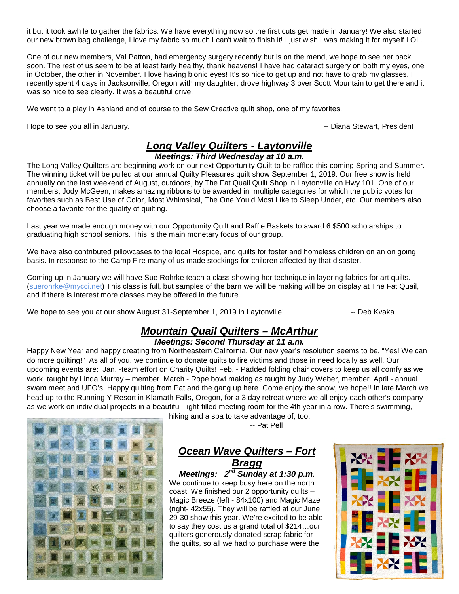it but it took awhile to gather the fabrics. We have everything now so the first cuts get made in January! We also started our new brown bag challenge, I love my fabric so much I can't wait to finish it! I just wish I was making it for myself LOL.

One of our new members, Val Patton, had emergency surgery recently but is on the mend, we hope to see her back soon. The rest of us seem to be at least fairly healthy, thank heavens! I have had cataract surgery on both my eyes, one in October, the other in November. I love having bionic eyes! It's so nice to get up and not have to grab my glasses. I recently spent 4 days in Jacksonville, Oregon with my daughter, drove highway 3 over Scott Mountain to get there and it was so nice to see clearly. It was a beautiful drive.

We went to a play in Ashland and of course to the Sew Creative quilt shop, one of my favorites.

Hope to see you all in January. The second second service is a service of the set of the Diana Stewart, President

#### *Long Valley Quilters - Laytonville Meetings: Third Wednesday at 10 a.m.*

The Long Valley Quilters are beginning work on our next Opportunity Quilt to be raffled this coming Spring and Summer. The winning ticket will be pulled at our annual Quilty Pleasures quilt show September 1, 2019. Our free show is held annually on the last weekend of August, outdoors, by The Fat Quail Quilt Shop in Laytonville on Hwy 101. One of our members, Jody McGeen, makes amazing ribbons to be awarded in multiple categories for which the public votes for favorites such as Best Use of Color, Most Whimsical, The One You'd Most Like to Sleep Under, etc. Our members also choose a favorite for the quality of quilting.

Last year we made enough money with our Opportunity Quilt and Raffle Baskets to award 6 \$500 scholarships to graduating high school seniors. This is the main monetary focus of our group.

We have also contributed pillowcases to the local Hospice, and quilts for foster and homeless children on an on going basis. In response to the Camp Fire many of us made stockings for children affected by that disaster.

Coming up in January we will have Sue Rohrke teach a class showing her technique in layering fabrics for art quilts. [\(suerohrke@mycci.net\)](mailto:suerohrke@mycci.net) This class is full, but samples of the barn we will be making will be on display at The Fat Quail, and if there is interest more classes may be offered in the future.

We hope to see you at our show August 31-September 1, 2019 in Laytonville! -- Deb Kvaka

## *Mountain Quail Quilters – McArthur*

#### *Meetings: Second Thursday at 11 a.m.*

Happy New Year and happy creating from Northeastern California. Our new year's resolution seems to be, "Yes! We can do more quilting!" As all of you, we continue to donate quilts to fire victims and those in need locally as well. Our upcoming events are: Jan. -team effort on Charity Quilts! Feb. - Padded folding chair covers to keep us all comfy as we work, taught by Linda Murray – member. March - Rope bowl making as taught by Judy Weber, member. April - annual swam meet and UFO's. Happy quilting from Pat and the gang up here. Come enjoy the snow, we hope!! In late March we head up to the Running Y Resort in Klamath Falls, Oregon, for a 3 day retreat where we all enjoy each other's company as we work on individual projects in a beautiful, light-filled meeting room for the 4th year in a row. There's swimming,



hiking and a spa to take advantage of, too.

-- Pat Pell

## *Ocean Wave Quilters – Fort Bragg*

*Meetings: 2nd Sunday at 1:30 p.m.* We continue to keep busy here on the north coast. We finished our 2 opportunity quilts – Magic Breeze (left - 84x100) and Magic Maze (right- 42x55). They will be raffled at our June 29-30 show this year. We're excited to be able to say they cost us a grand total of \$214…our quilters generously donated scrap fabric for the quilts, so all we had to purchase were the

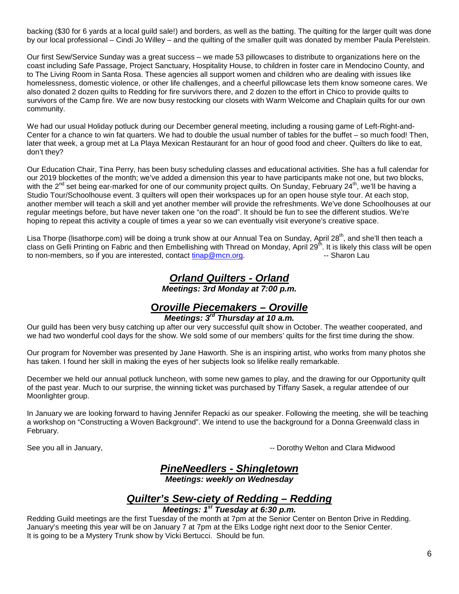backing (\$30 for 6 yards at a local guild sale!) and borders, as well as the batting. The quilting for the larger quilt was done by our local professional – Cindi Jo Willey – and the quilting of the smaller quilt was donated by member Paula Perelstein.

Our first Sew/Service Sunday was a great success – we made 53 pillowcases to distribute to organizations here on the coast including Safe Passage, Project Sanctuary, Hospitality House, to children in foster care in Mendocino County, and to The Living Room in Santa Rosa. These agencies all support women and children who are dealing with issues like homelessness, domestic violence, or other life challenges, and a cheerful pillowcase lets them know someone cares. We also donated 2 dozen quilts to Redding for fire survivors there, and 2 dozen to the effort in Chico to provide quilts to survivors of the Camp fire. We are now busy restocking our closets with Warm Welcome and Chaplain quilts for our own community.

We had our usual Holiday potluck during our December general meeting, including a rousing game of Left-Right-and-Center for a chance to win fat quarters. We had to double the usual number of tables for the buffet – so much food! Then, later that week, a group met at La Playa Mexican Restaurant for an hour of good food and cheer. Quilters do like to eat, don't they?

Our Education Chair, Tina Perry, has been busy scheduling classes and educational activities. She has a full calendar for our 2019 blockettes of the month; we've added a dimension this year to have participants make not one, but two blocks, with the 2<sup>nd</sup> set being ear-marked for one of our community project quilts. On Sunday, February 24<sup>th</sup>, we'll be having a Studio Tour/Schoolhouse event. 3 quilters will open their workspaces up for an open house style tour. At each stop, another member will teach a skill and yet another member will provide the refreshments. We've done Schoolhouses at our regular meetings before, but have never taken one "on the road". It should be fun to see the different studios. We're hoping to repeat this activity a couple of times a year so we can eventually visit everyone's creative space.

Lisa Thorpe (lisathorpe.com) will be doing a trunk show at our Annual Tea on Sunday, April 28<sup>th</sup>, and she'll then teach a class on Gelli Printing on Fabric and then Embellishing with Thread on Monday, April 29<sup>th</sup>. It is likely this class will be open to non-members, so if you are interested, contact [tinap@mcn.org.](mailto:tinap@mcn.org) The state of the Sharon Lau

#### *Orland Quilters - Orland Meetings: 3rd Monday at 7:00 p.m.*

# **O***roville Piecemakers – Oroville*

## *Meetings: 3rd Thursday at 10 a.m.*

Our guild has been very busy catching up after our very successful quilt show in October. The weather cooperated, and we had two wonderful cool days for the show. We sold some of our members' quilts for the first time during the show.

Our program for November was presented by Jane Haworth. She is an inspiring artist, who works from many photos she has taken. I found her skill in making the eyes of her subjects look so lifelike really remarkable.

December we held our annual potluck luncheon, with some new games to play, and the drawing for our Opportunity quilt of the past year. Much to our surprise, the winning ticket was purchased by Tiffany Sasek, a regular attendee of our Moonlighter group.

In January we are looking forward to having Jennifer Repacki as our speaker. Following the meeting, she will be teaching a workshop on "Constructing a Woven Background". We intend to use the background for a Donna Greenwald class in February.

See you all in January,  $\overline{\phantom{a}}$  and  $\overline{\phantom{a}}$  are  $\overline{\phantom{a}}$  and  $\overline{\phantom{a}}$  and  $\overline{\phantom{a}}$  and  $\overline{\phantom{a}}$  and  $\overline{\phantom{a}}$  and  $\overline{\phantom{a}}$  and  $\overline{\phantom{a}}$  and  $\overline{\phantom{a}}$  and  $\overline{\phantom{a}}$  and  $\overline{\phantom{a}}$  and  $\overline{\phant$ 

## *PineNeedlers - Shingletown*

*Meetings: weekly on Wednesday*

## *Quilter's Sew-ciety of Redding – Redding*

#### *Meetings: 1st Tuesday at 6:30 p.m.*

Redding Guild meetings are the first Tuesday of the month at 7pm at the Senior Center on Benton Drive in Redding. January's meeting this year will be on January 7 at 7pm at the Elks Lodge right next door to the Senior Center. It is going to be a Mystery Trunk show by Vicki Bertucci. Should be fun.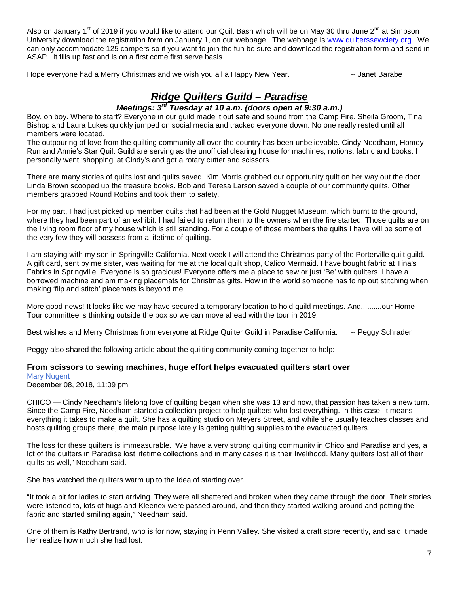Also on January 1<sup>st</sup> of 2019 if you would like to attend our Quilt Bash which will be on May 30 thru June 2<sup>nd</sup> at Simpson University download the registration form on January 1, on our webpage. The webpage is [www.quilterssewciety.org.](http://www.quilterssewciety.org/) We can only accommodate 125 campers so if you want to join the fun be sure and download the registration form and send in ASAP. It fills up fast and is on a first come first serve basis.

Hope everyone had a Merry Christmas and we wish you all a Happy New Year. **--- The Manuman Hangistan** -- Janet Barabe

# *Ridge Quilters Guild – Paradise*

#### *Meetings: 3rd Tuesday at 10 a.m. (doors open at 9:30 a.m.)*

Boy, oh boy. Where to start? Everyone in our guild made it out safe and sound from the Camp Fire. Sheila Groom, Tina Bishop and Laura Lukes quickly jumped on social media and tracked everyone down. No one really rested until all members were located.

The outpouring of love from the quilting community all over the country has been unbelievable. Cindy Needham, Homey Run and Annie's Star Quilt Guild are serving as the unofficial clearing house for machines, notions, fabric and books. I personally went 'shopping' at Cindy's and got a rotary cutter and scissors.

There are many stories of quilts lost and quilts saved. Kim Morris grabbed our opportunity quilt on her way out the door. Linda Brown scooped up the treasure books. Bob and Teresa Larson saved a couple of our community quilts. Other members grabbed Round Robins and took them to safety.

For my part, I had just picked up member quilts that had been at the Gold Nugget Museum, which burnt to the ground, where they had been part of an exhibit. I had failed to return them to the owners when the fire started. Those quilts are on the living room floor of my house which is still standing. For a couple of those members the quilts I have will be some of the very few they will possess from a lifetime of quilting.

I am staying with my son in Springville California. Next week I will attend the Christmas party of the Porterville quilt guild. A gift card, sent by me sister, was waiting for me at the local quilt shop, Calico Mermaid. I have bought fabric at Tina's Fabrics in Springville. Everyone is so gracious! Everyone offers me a place to sew or just 'Be' with quilters. I have a borrowed machine and am making placemats for Christmas gifts. How in the world someone has to rip out stitching when making 'flip and stitch' placemats is beyond me.

More good news! It looks like we may have secured a temporary location to hold guild meetings. And..........our Home Tour committee is thinking outside the box so we can move ahead with the tour in 2019.

Best wishes and Merry Christmas from everyone at Ridge Quilter Guild in Paradise California. - - Peggy Schrader

Peggy also shared the following article about the quilting community coming together to help:

#### **From scissors to sewing machines, huge effort helps evacuated quilters start over**

[Mary Nugent](https://www.chicoer.com/author/mary-nugent/) December 08, 2018, 11:09 pm

CHICO — Cindy Needham's lifelong love of quilting began when she was 13 and now, that passion has taken a new turn. Since the Camp Fire, Needham started a collection project to help quilters who lost everything. In this case, it means everything it takes to make a quilt. She has a quilting studio on Meyers Street, and while she usually teaches classes and hosts quilting groups there, the main purpose lately is getting quilting supplies to the evacuated quilters.

The loss for these quilters is immeasurable. "We have a very strong quilting community in Chico and Paradise and yes, a lot of the quilters in Paradise lost lifetime collections and in many cases it is their livelihood. Many quilters lost all of their quilts as well," Needham said.

She has watched the quilters warm up to the idea of starting over.

"It took a bit for ladies to start arriving. They were all shattered and broken when they came through the door. Their stories were listened to, lots of hugs and Kleenex were passed around, and then they started walking around and petting the fabric and started smiling again," Needham said.

One of them is Kathy Bertrand, who is for now, staying in Penn Valley. She visited a craft store recently, and said it made her realize how much she had lost.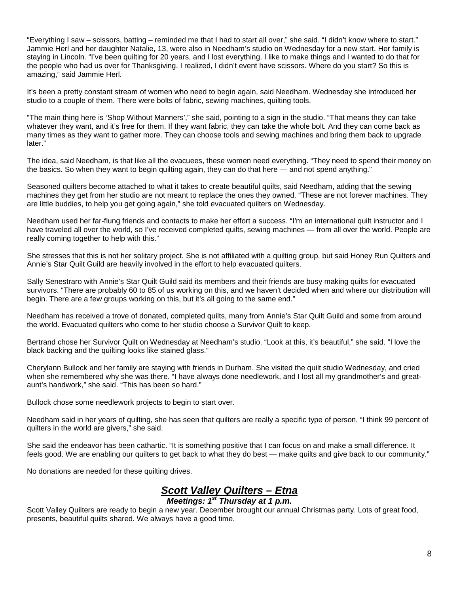"Everything I saw – scissors, batting – reminded me that I had to start all over," she said. "I didn't know where to start." Jammie Herl and her daughter Natalie, 13, were also in Needham's studio on Wednesday for a new start. Her family is staying in Lincoln. "I've been quilting for 20 years, and I lost everything. I like to make things and I wanted to do that for the people who had us over for Thanksgiving. I realized, I didn't event have scissors. Where do you start? So this is amazing," said Jammie Herl.

It's been a pretty constant stream of women who need to begin again, said Needham. Wednesday she introduced her studio to a couple of them. There were bolts of fabric, sewing machines, quilting tools.

"The main thing here is 'Shop Without Manners'," she said, pointing to a sign in the studio. "That means they can take whatever they want, and it's free for them. If they want fabric, they can take the whole bolt. And they can come back as many times as they want to gather more. They can choose tools and sewing machines and bring them back to upgrade later."

The idea, said Needham, is that like all the evacuees, these women need everything. "They need to spend their money on the basics. So when they want to begin quilting again, they can do that here — and not spend anything."

Seasoned quilters become attached to what it takes to create beautiful quilts, said Needham, adding that the sewing machines they get from her studio are not meant to replace the ones they owned. "These are not forever machines. They are little buddies, to help you get going again," she told evacuated quilters on Wednesday.

Needham used her far-flung friends and contacts to make her effort a success. "I'm an international quilt instructor and I have traveled all over the world, so I've received completed quilts, sewing machines — from all over the world. People are really coming together to help with this."

She stresses that this is not her solitary project. She is not affiliated with a quilting group, but said Honey Run Quilters and Annie's Star Quilt Guild are heavily involved in the effort to help evacuated quilters.

Sally Senestraro with Annie's Star Quilt Guild said its members and their friends are busy making quilts for evacuated survivors. "There are probably 60 to 85 of us working on this, and we haven't decided when and where our distribution will begin. There are a few groups working on this, but it's all going to the same end."

Needham has received a trove of donated, completed quilts, many from Annie's Star Quilt Guild and some from around the world. Evacuated quilters who come to her studio choose a Survivor Quilt to keep.

Bertrand chose her Survivor Quilt on Wednesday at Needham's studio. "Look at this, it's beautiful," she said. "I love the black backing and the quilting looks like stained glass."

Cherylann Bullock and her family are staying with friends in Durham. She visited the quilt studio Wednesday, and cried when she remembered why she was there. "I have always done needlework, and I lost all my grandmother's and greataunt's handwork," she said. "This has been so hard."

Bullock chose some needlework projects to begin to start over.

Needham said in her years of quilting, she has seen that quilters are really a specific type of person. "I think 99 percent of quilters in the world are givers," she said.

She said the endeavor has been cathartic. "It is something positive that I can focus on and make a small difference. It feels good. We are enabling our quilters to get back to what they do best — make quilts and give back to our community."

No donations are needed for these quilting drives.

## *Scott Valley Quilters – Etna*

## *Meetings: 1st Thursday at 1 p.m.*

Scott Valley Quilters are ready to begin a new year. December brought our annual Christmas party. Lots of great food, presents, beautiful quilts shared. We always have a good time.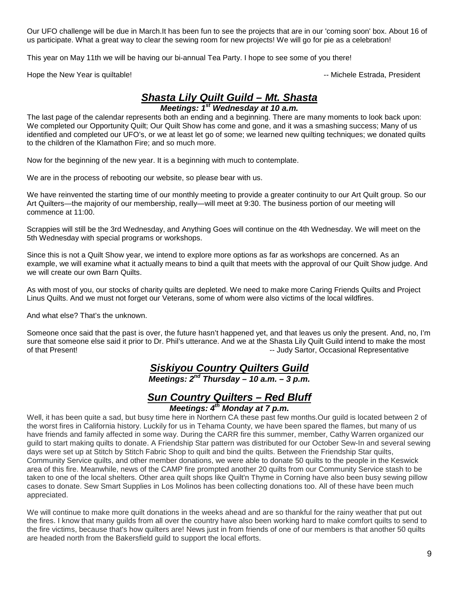Our UFO challenge will be due in March.It has been fun to see the projects that are in our 'coming soon' box. About 16 of us participate. What a great way to clear the sewing room for new projects! We will go for pie as a celebration!

This year on May 11th we will be having our bi-annual Tea Party. I hope to see some of you there!

Hope the New Year is quiltable!  $\blacksquare$ 

## *Shasta Lily Quilt Guild – Mt. Shasta*

*Meetings: 1st Wednesday at 10 a.m.*

The last page of the calendar represents both an ending and a beginning. There are many moments to look back upon: We completed our Opportunity Quilt; Our Quilt Show has come and gone, and it was a smashing success; Many of us identified and completed our UFO's, or we at least let go of some; we learned new quilting techniques; we donated quilts to the children of the Klamathon Fire; and so much more.

Now for the beginning of the new year. It is a beginning with much to contemplate.

We are in the process of rebooting our website, so please bear with us.

We have reinvented the starting time of our monthly meeting to provide a greater continuity to our Art Quilt group. So our Art Quilters—the majority of our membership, really—will meet at 9:30. The business portion of our meeting will commence at 11:00.

Scrappies will still be the 3rd Wednesday, and Anything Goes will continue on the 4th Wednesday. We will meet on the 5th Wednesday with special programs or workshops.

Since this is not a Quilt Show year, we intend to explore more options as far as workshops are concerned. As an example, we will examine what it actually means to bind a quilt that meets with the approval of our Quilt Show judge. And we will create our own Barn Quilts.

As with most of you, our stocks of charity quilts are depleted. We need to make more Caring Friends Quilts and Project Linus Quilts. And we must not forget our Veterans, some of whom were also victims of the local wildfires.

And what else? That's the unknown.

Someone once said that the past is over, the future hasn't happened yet, and that leaves us only the present. And, no, I'm sure that someone else said it prior to Dr. Phil's utterance. And we at the Shasta Lily Quilt Guild intend to make the most of that Present! -- Judy Sartor, Occasional Representative

## *Siskiyou Country Quilters Guild*

*Meetings: 2nd Thursday – 10 a.m. – 3 p.m.*

### *Sun Country Quilters – Red Bluff Meetings: 4th Monday at 7 p.m.*

Well, it has been quite a sad, but busy time here in Northern CA these past few months.Our guild is located between 2 of the worst fires in California history. Luckily for us in Tehama County, we have been spared the flames, but many of us have friends and family affected in some way. During the CARR fire this summer, member, Cathy Warren organized our guild to start making quilts to donate. A Friendship Star pattern was distributed for our October Sew-In and several sewing days were set up at Stitch by Stitch Fabric Shop to quilt and bind the quilts. Between the Friendship Star quilts, Community Service quilts, and other member donations, we were able to donate 50 quilts to the people in the Keswick area of this fire. Meanwhile, news of the CAMP fire prompted another 20 quilts from our Community Service stash to be taken to one of the local shelters. Other area quilt shops like Quilt'n Thyme in Corning have also been busy sewing pillow cases to donate. Sew Smart Supplies in Los Molinos has been collecting donations too. All of these have been much appreciated.

We will continue to make more quilt donations in the weeks ahead and are so thankful for the rainy weather that put out the fires. I know that many guilds from all over the country have also been working hard to make comfort quilts to send to the fire victims, because that's how quilters are! News just in from friends of one of our members is that another 50 quilts are headed north from the Bakersfield guild to support the local efforts.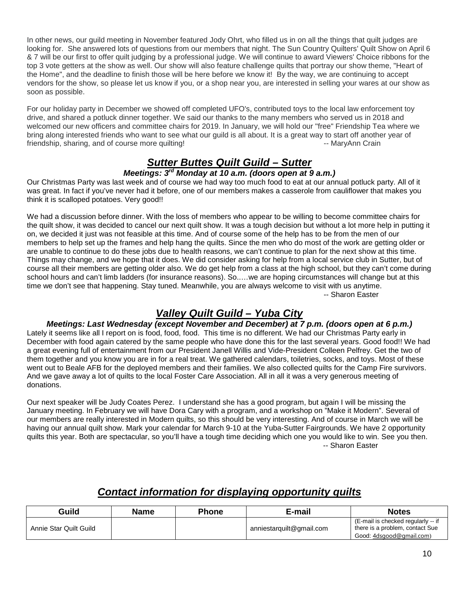In other news, our guild meeting in November featured Jody Ohrt, who filled us in on all the things that quilt judges are looking for. She answered lots of questions from our members that night. The Sun Country Quilters' Quilt Show on April 6 & 7 will be our first to offer quilt judging by a professional judge. We will continue to award Viewers' Choice ribbons for the top 3 vote getters at the show as well. Our show will also feature challenge quilts that portray our show theme, "Heart of the Home", and the deadline to finish those will be here before we know it! By the way, we are continuing to accept vendors for the show, so please let us know if you, or a shop near you, are interested in selling your wares at our show as soon as possible.

For our holiday party in December we showed off completed UFO's, contributed toys to the local law enforcement toy drive, and shared a potluck dinner together. We said our thanks to the many members who served us in 2018 and welcomed our new officers and committee chairs for 2019. In January, we will hold our "free" Friendship Tea where we bring along interested friends who want to see what our guild is all about. It is a great way to start off another year of friendship, sharing, and of course more quilting! The same state of the state of the MaryAnn Crain

# *Sutter Buttes Quilt Guild – Sutter*

#### *Meetings: 3rd Monday at 10 a.m. (doors open at 9 a.m.)*

Our Christmas Party was last week and of course we had way too much food to eat at our annual potluck party. All of it was great. In fact if you've never had it before, one of our members makes a casserole from cauliflower that makes you think it is scalloped potatoes. Very good!!

We had a discussion before dinner. With the loss of members who appear to be willing to become committee chairs for the quilt show, it was decided to cancel our next quilt show. It was a tough decision but without a lot more help in putting it on, we decided it just was not feasible at this time. And of course some of the help has to be from the men of our members to help set up the frames and help hang the quilts. Since the men who do most of the work are getting older or are unable to continue to do these jobs due to health reasons, we can't continue to plan for the next show at this time. Things may change, and we hope that it does. We did consider asking for help from a local service club in Sutter, but of course all their members are getting older also. We do get help from a class at the high school, but they can't come during school hours and can't limb ladders (for insurance reasons). So..…we are hoping circumstances will change but at this time we don't see that happening. Stay tuned. Meanwhile, you are always welcome to visit with us anytime. -- Sharon Easter

## *Valley Quilt Guild – Yuba City*

#### *Meetings: Last Wednesday (except November and December) at 7 p.m. (doors open at 6 p.m.)*

Lately it seems like all I report on is food, food, food. This time is no different. We had our Christmas Party early in December with food again catered by the same people who have done this for the last several years. Good food!! We had a great evening full of entertainment from our President Janell Willis and Vide-President Colleen Pelfrey. Get the two of them together and you know you are in for a real treat. We gathered calendars, toiletries, socks, and toys. Most of these went out to Beale AFB for the deployed members and their families. We also collected quilts for the Camp Fire survivors. And we gave away a lot of quilts to the local Foster Care Association. All in all it was a very generous meeting of donations.

Our next speaker will be Judy Coates Perez. I understand she has a good program, but again I will be missing the January meeting. In February we will have Dora Cary with a program, and a workshop on "Make it Modern". Several of our members are really interested in Modern quilts, so this should be very interesting. And of course in March we will be having our annual quilt show. Mark your calendar for March 9-10 at the Yuba-Sutter Fairgrounds. We have 2 opportunity quilts this year. Both are spectacular, so you'll have a tough time deciding which one you would like to win. See you then. -- Sharon Easter

## *Contact information for displaying opportunity quilts*

| Guild                  | <b>Name</b> | Phone | E-mail                   | <b>Notes</b>                                                                                      |
|------------------------|-------------|-------|--------------------------|---------------------------------------------------------------------------------------------------|
| Annie Star Quilt Guild |             |       | anniestarquilt@gmail.com | (E-mail is checked regularly -- if<br>there is a problem, contact Sue<br>Good: 4dsgood@gmail.com) |